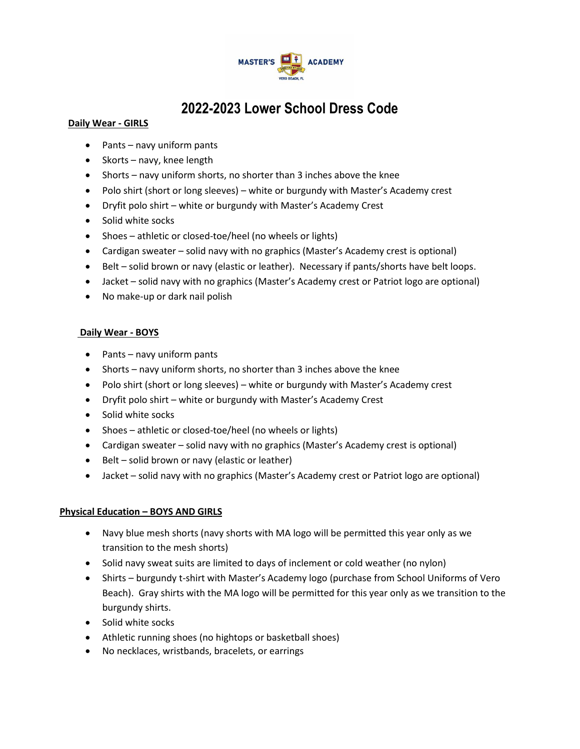

# **2022-2023 Lower School Dress Code**

#### **Daily Wear - GIRLS**

- Pants navy uniform pants
- Skorts navy, knee length
- Shorts navy uniform shorts, no shorter than 3 inches above the knee
- Polo shirt (short or long sleeves) white or burgundy with Master's Academy crest
- Dryfit polo shirt white or burgundy with Master's Academy Crest
- Solid white socks
- Shoes athletic or closed-toe/heel (no wheels or lights)
- Cardigan sweater solid navy with no graphics (Master's Academy crest is optional)
- Belt solid brown or navy (elastic or leather). Necessary if pants/shorts have belt loops.
- Jacket solid navy with no graphics (Master's Academy crest or Patriot logo are optional)
- No make-up or dark nail polish

#### **Daily Wear - BOYS**

- Pants navy uniform pants
- Shorts navy uniform shorts, no shorter than 3 inches above the knee
- Polo shirt (short or long sleeves) white or burgundy with Master's Academy crest
- Dryfit polo shirt white or burgundy with Master's Academy Crest
- Solid white socks
- Shoes athletic or closed-toe/heel (no wheels or lights)
- Cardigan sweater solid navy with no graphics (Master's Academy crest is optional)
- Belt solid brown or navy (elastic or leather)
- Jacket solid navy with no graphics (Master's Academy crest or Patriot logo are optional)

#### **Physical Education – BOYS AND GIRLS**

- Navy blue mesh shorts (navy shorts with MA logo will be permitted this year only as we transition to the mesh shorts)
- Solid navy sweat suits are limited to days of inclement or cold weather (no nylon)
- Shirts burgundy t-shirt with Master's Academy logo (purchase from School Uniforms of Vero Beach). Gray shirts with the MA logo will be permitted for this year only as we transition to the burgundy shirts.
- Solid white socks
- Athletic running shoes (no hightops or basketball shoes)
- No necklaces, wristbands, bracelets, or earrings